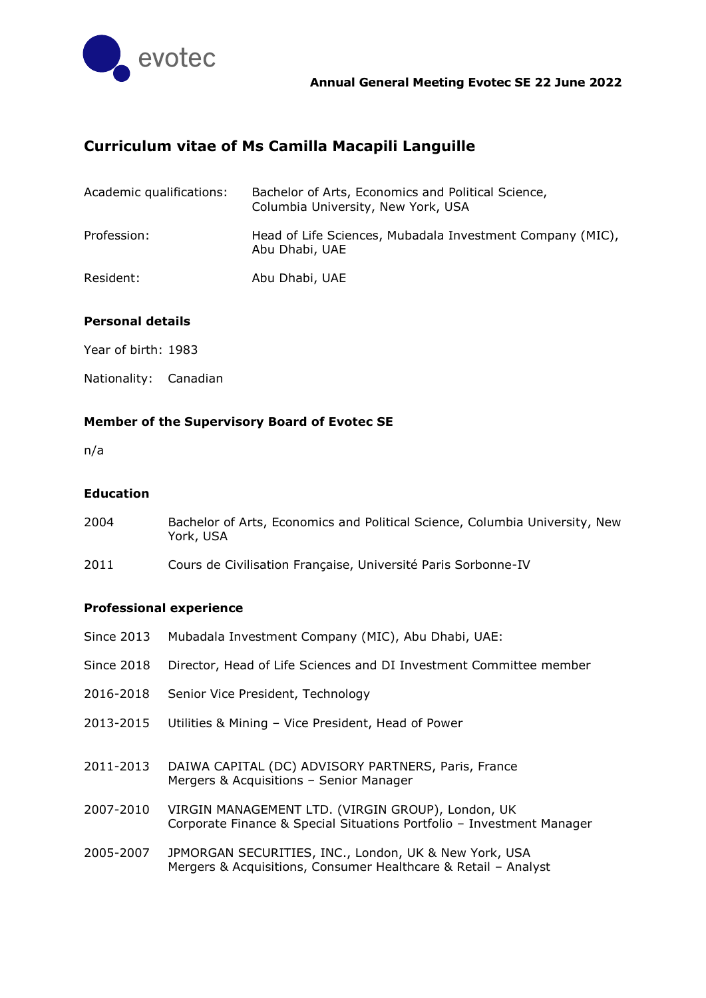

# **Curriculum vitae of Ms Camilla Macapili Languille**

| Academic qualifications: | Bachelor of Arts, Economics and Political Science,<br>Columbia University, New York, USA |
|--------------------------|------------------------------------------------------------------------------------------|
| Profession:              | Head of Life Sciences, Mubadala Investment Company (MIC),<br>Abu Dhabi, UAE              |
| Resident:                | Abu Dhabi, UAE                                                                           |

# **Personal details**

Year of birth: 1983

Nationality: Canadian

# **Member of the Supervisory Board of Evotec SE**

n/a

#### **Education**

| 2004 | Bachelor of Arts, Economics and Political Science, Columbia University, New |
|------|-----------------------------------------------------------------------------|
|      | York, USA                                                                   |

2011 Cours de Civilisation Française, Université Paris Sorbonne-IV

## **Professional experience**

| <b>Since 2013</b> | Mubadala Investment Company (MIC), Abu Dhabi, UAE:                                                                         |
|-------------------|----------------------------------------------------------------------------------------------------------------------------|
| <b>Since 2018</b> | Director, Head of Life Sciences and DI Investment Committee member                                                         |
| 2016-2018         | Senior Vice President, Technology                                                                                          |
| 2013-2015         | Utilities & Mining - Vice President, Head of Power                                                                         |
| 2011-2013         | DAIWA CAPITAL (DC) ADVISORY PARTNERS, Paris, France<br>Mergers & Acquisitions - Senior Manager                             |
| 2007-2010         | VIRGIN MANAGEMENT LTD. (VIRGIN GROUP), London, UK<br>Corporate Finance & Special Situations Portfolio - Investment Manager |
| 2005-2007         | JPMORGAN SECURITIES, INC., London, UK & New York, USA<br>Mergers & Acquisitions, Consumer Healthcare & Retail - Analyst    |